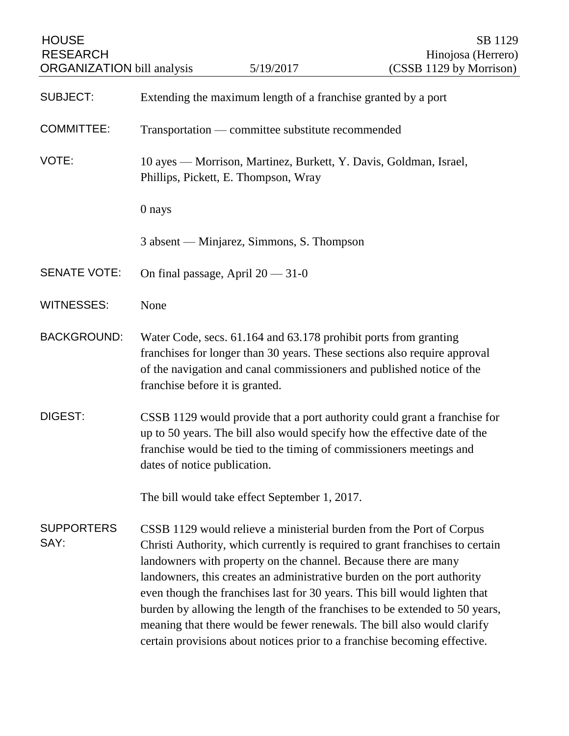| <b>HOUSE</b><br><b>RESEARCH</b><br><b>ORGANIZATION</b> bill analysis |                                                                                                                                                                                                                                                                                                                                                                                                                                                                                                                                                                                                                          | 5/19/2017                                 | SB 1129<br>Hinojosa (Herrero)<br>(CSSB 1129 by Morrison) |
|----------------------------------------------------------------------|--------------------------------------------------------------------------------------------------------------------------------------------------------------------------------------------------------------------------------------------------------------------------------------------------------------------------------------------------------------------------------------------------------------------------------------------------------------------------------------------------------------------------------------------------------------------------------------------------------------------------|-------------------------------------------|----------------------------------------------------------|
| <b>SUBJECT:</b>                                                      | Extending the maximum length of a franchise granted by a port                                                                                                                                                                                                                                                                                                                                                                                                                                                                                                                                                            |                                           |                                                          |
| <b>COMMITTEE:</b>                                                    | Transportation — committee substitute recommended                                                                                                                                                                                                                                                                                                                                                                                                                                                                                                                                                                        |                                           |                                                          |
| VOTE:                                                                | 10 ayes — Morrison, Martinez, Burkett, Y. Davis, Goldman, Israel,<br>Phillips, Pickett, E. Thompson, Wray                                                                                                                                                                                                                                                                                                                                                                                                                                                                                                                |                                           |                                                          |
|                                                                      | 0 nays                                                                                                                                                                                                                                                                                                                                                                                                                                                                                                                                                                                                                   |                                           |                                                          |
|                                                                      |                                                                                                                                                                                                                                                                                                                                                                                                                                                                                                                                                                                                                          | 3 absent — Minjarez, Simmons, S. Thompson |                                                          |
| <b>SENATE VOTE:</b>                                                  | On final passage, April $20 - 31 - 0$                                                                                                                                                                                                                                                                                                                                                                                                                                                                                                                                                                                    |                                           |                                                          |
| <b>WITNESSES:</b>                                                    | None                                                                                                                                                                                                                                                                                                                                                                                                                                                                                                                                                                                                                     |                                           |                                                          |
| <b>BACKGROUND:</b>                                                   | Water Code, secs. 61.164 and 63.178 prohibit ports from granting<br>franchises for longer than 30 years. These sections also require approval<br>of the navigation and canal commissioners and published notice of the<br>franchise before it is granted.                                                                                                                                                                                                                                                                                                                                                                |                                           |                                                          |
| DIGEST:                                                              | CSSB 1129 would provide that a port authority could grant a franchise for<br>up to 50 years. The bill also would specify how the effective date of the<br>franchise would be tied to the timing of commissioners meetings and<br>dates of notice publication.                                                                                                                                                                                                                                                                                                                                                            |                                           |                                                          |
|                                                                      | The bill would take effect September 1, 2017.                                                                                                                                                                                                                                                                                                                                                                                                                                                                                                                                                                            |                                           |                                                          |
| <b>SUPPORTERS</b><br>SAY:                                            | CSSB 1129 would relieve a ministerial burden from the Port of Corpus<br>Christi Authority, which currently is required to grant franchises to certain<br>landowners with property on the channel. Because there are many<br>landowners, this creates an administrative burden on the port authority<br>even though the franchises last for 30 years. This bill would lighten that<br>burden by allowing the length of the franchises to be extended to 50 years,<br>meaning that there would be fewer renewals. The bill also would clarify<br>certain provisions about notices prior to a franchise becoming effective. |                                           |                                                          |